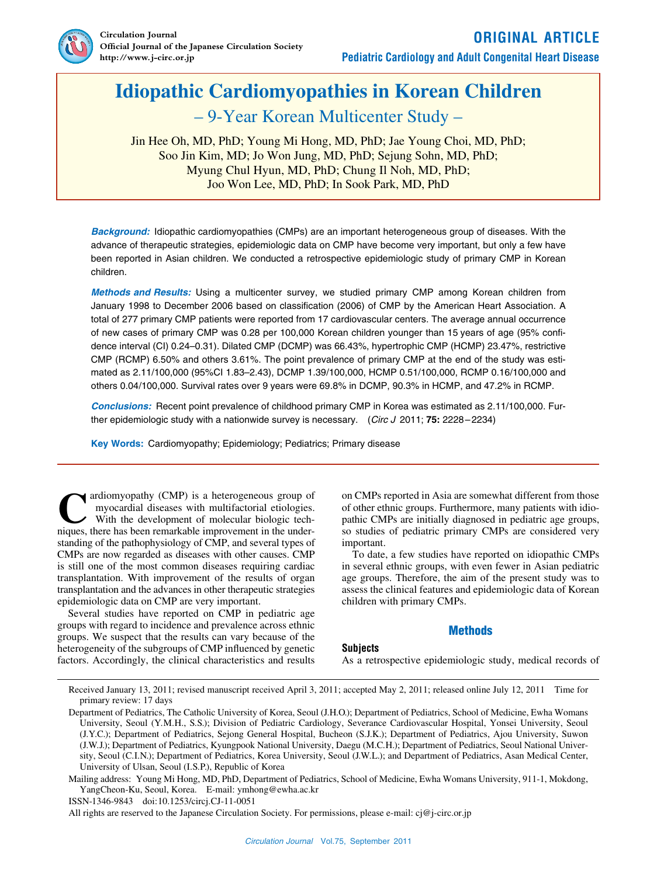

# **Idiopathic Cardiomyopathies in Korean Children**

– 9-Year Korean Multicenter Study –

Jin Hee Oh, MD, PhD; Young Mi Hong, MD, PhD; Jae Young Choi, MD, PhD; Soo Jin Kim, MD; Jo Won Jung, MD, PhD; Sejung Sohn, MD, PhD; Myung Chul Hyun, MD, PhD; Chung Il Noh, MD, PhD; Joo Won Lee, MD, PhD; In Sook Park, MD, PhD

*Background:* Idiopathic cardiomyopathies (CMPs) are an important heterogeneous group of diseases. With the advance of therapeutic strategies, epidemiologic data on CMP have become very important, but only a few have been reported in Asian children. We conducted a retrospective epidemiologic study of primary CMP in Korean children.

*Methods and Results:* Using a multicenter survey, we studied primary CMP among Korean children from January 1998 to December 2006 based on classification (2006) of CMP by the American Heart Association. A total of 277 primary CMP patients were reported from 17 cardiovascular centers. The average annual occurrence of new cases of primary CMP was 0.28 per 100,000 Korean children younger than 15 years of age (95% confidence interval (CI) 0.24–0.31). Dilated CMP (DCMP) was 66.43%, hypertrophic CMP (HCMP) 23.47%, restrictive CMP (RCMP) 6.50% and others 3.61%. The point prevalence of primary CMP at the end of the study was estimated as 2.11/100,000 (95%CI 1.83–2.43), DCMP 1.39/100,000, HCMP 0.51/100,000, RCMP 0.16/100,000 and others 0.04/100,000. Survival rates over 9 years were 69.8% in DCMP, 90.3% in HCMP, and 47.2% in RCMP.

*Conclusions:* Recent point prevalence of childhood primary CMP in Korea was estimated as 2.11/100,000. Further epidemiologic study with a nationwide survey is necessary. (*Circ J* 2011; **75:** 2228–2234)

**Key Words:** Cardiomyopathy; Epidemiology; Pediatrics; Primary disease

ardiomyopathy (CMP) is a heterogeneous group of myocardial diseases with multifactorial etiologies. With the development of molecular biologic techardiomyopathy (CMP) is a heterogeneous group of myocardial diseases with multifactorial etiologies.<br>With the development of molecular biologic techniques, there has been remarkable improvement in the understanding of the pathophysiology of CMP, and several types of CMPs are now regarded as diseases with other causes. CMP is still one of the most common diseases requiring cardiac transplantation. With improvement of the results of organ transplantation and the advances in other therapeutic strategies epidemiologic data on CMP are very important.

Several studies have reported on CMP in pediatric age groups with regard to incidence and prevalence across ethnic groups. We suspect that the results can vary because of the heterogeneity of the subgroups of CMP influenced by genetic factors. Accordingly, the clinical characteristics and results on CMPs reported in Asia are somewhat different from those of other ethnic groups. Furthermore, many patients with idiopathic CMPs are initially diagnosed in pediatric age groups, so studies of pediatric primary CMPs are considered very important.

To date, a few studies have reported on idiopathic CMPs in several ethnic groups, with even fewer in Asian pediatric age groups. Therefore, the aim of the present study was to assess the clinical features and epidemiologic data of Korean children with primary CMPs.

# **Methods**

# **Subjects**

As a retrospective epidemiologic study, medical records of

Received January 13, 2011; revised manuscript received April 3, 2011; accepted May 2, 2011; released online July 12, 2011 Time for primary review: 17 days

Mailing address: Young Mi Hong, MD, PhD, Department of Pediatrics, School of Medicine, Ewha Womans University, 911-1, Mokdong, YangCheon-Ku, Seoul, Korea. E-mail: ymhong@ewha.ac.kr

ISSN-1346-9843 doi:10.1253/circj.CJ-11-0051

All rights are reserved to the Japanese Circulation Society. For permissions, please e-mail: cj@j-circ.or.jp

Department of Pediatrics, The Catholic University of Korea, Seoul (J.H.O.); Department of Pediatrics, School of Medicine, Ewha Womans University, Seoul (Y.M.H., S.S.); Division of Pediatric Cardiology, Severance Cardiovascular Hospital, Yonsei University, Seoul (J.Y.C.); Department of Pediatrics, Sejong General Hospital, Bucheon (S.J.K.); Department of Pediatrics, Ajou University, Suwon (J.W.J.); Department of Pediatrics, Kyungpook National University, Daegu (M.C.H.); Department of Pediatrics, Seoul National University, Seoul (C.I.N.); Department of Pediatrics, Korea University, Seoul (J.W.L.); and Department of Pediatrics, Asan Medical Center, University of Ulsan, Seoul (I.S.P.), Republic of Korea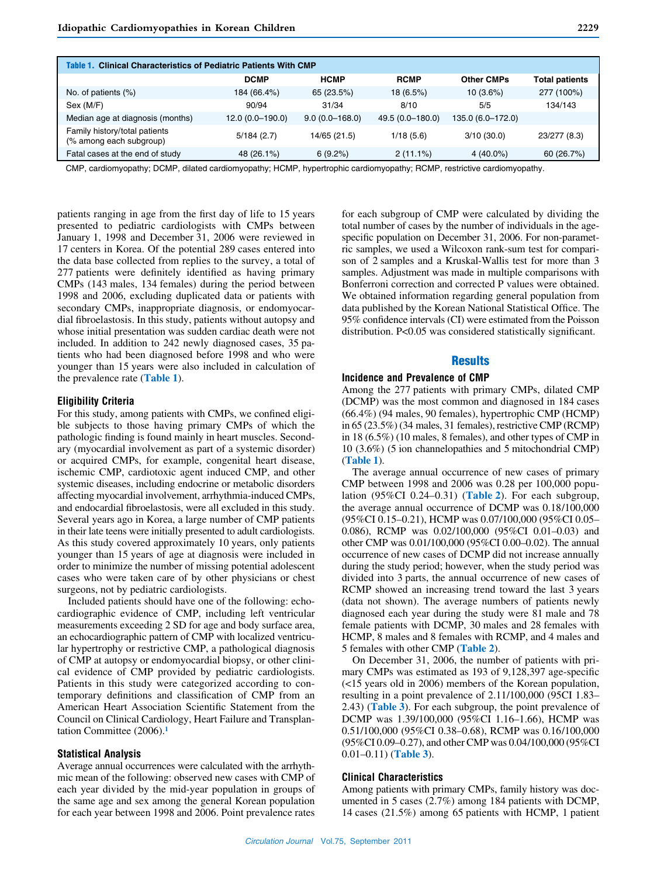| <b>Clinical Characteristics of Pediatric Patients With CMP</b><br>Table 1. |                   |                    |                  |                   |                       |  |  |  |
|----------------------------------------------------------------------------|-------------------|--------------------|------------------|-------------------|-----------------------|--|--|--|
|                                                                            | <b>DCMP</b>       | <b>HCMP</b>        | <b>RCMP</b>      | <b>Other CMPs</b> | <b>Total patients</b> |  |  |  |
| No. of patients (%)                                                        | 184 (66.4%)       | 65 (23.5%)         | 18(6.5%)         | $10(3.6\%)$       | 277 (100%)            |  |  |  |
| Sex (M/F)                                                                  | 90/94             | 31/34              | 8/10             | 5/5               | 134/143               |  |  |  |
| Median age at diagnosis (months)                                           | $12.0(0.0-190.0)$ | $9.0(0.0 - 168.0)$ | 49.5 (0.0-180.0) | 135.0 (6.0-172.0) |                       |  |  |  |
| Family history/total patients<br>(% among each subgroup)                   | 5/184(2.7)        | 14/65 (21.5)       | 1/18(5.6)        | 3/10(30.0)        | 23/277 (8.3)          |  |  |  |
| Fatal cases at the end of study                                            | 48 (26.1%)        | 6(9.2%)            | $2(11.1\%)$      | $4(40.0\%)$       | 60 (26.7%)            |  |  |  |

CMP, cardiomyopathy; DCMP, dilated cardiomyopathy; HCMP, hypertrophic cardiomyopathy; RCMP, restrictive cardiomyopathy.

patients ranging in age from the first day of life to 15 years presented to pediatric cardiologists with CMPs between January 1, 1998 and December 31, 2006 were reviewed in 17 centers in Korea. Of the potential 289 cases entered into the data base collected from replies to the survey, a total of 277 patients were definitely identified as having primary CMPs (143 males, 134 females) during the period between 1998 and 2006, excluding duplicated data or patients with secondary CMPs, inappropriate diagnosis, or endomyocardial fibroelastosis. In this study, patients without autopsy and whose initial presentation was sudden cardiac death were not included. In addition to 242 newly diagnosed cases, 35 patients who had been diagnosed before 1998 and who were younger than 15 years were also included in calculation of the prevalence rate (**Table 1**).

#### **Eligibility Criteria**

For this study, among patients with CMPs, we confined eligible subjects to those having primary CMPs of which the pathologic finding is found mainly in heart muscles. Secondary (myocardial involvement as part of a systemic disorder) or acquired CMPs, for example, congenital heart disease, ischemic CMP, cardiotoxic agent induced CMP, and other systemic diseases, including endocrine or metabolic disorders affecting myocardial involvement, arrhythmia-induced CMPs, and endocardial fibroelastosis, were all excluded in this study. Several years ago in Korea, a large number of CMP patients in their late teens were initially presented to adult cardiologists. As this study covered approximately 10 years, only patients younger than 15 years of age at diagnosis were included in order to minimize the number of missing potential adolescent cases who were taken care of by other physicians or chest surgeons, not by pediatric cardiologists.

Included patients should have one of the following: echocardiographic evidence of CMP, including left ventricular measurements exceeding 2 SD for age and body surface area, an echocardiographic pattern of CMP with localized ventricular hypertrophy or restrictive CMP, a pathological diagnosis of CMP at autopsy or endomyocardial biopsy, or other clinical evidence of CMP provided by pediatric cardiologists. Patients in this study were categorized according to contemporary definitions and classification of CMP from an American Heart Association Scientific Statement from the Council on Clinical Cardiology, Heart Failure and Transplantation Committee (2006).**<sup>1</sup>**

## **Statistical Analysis**

Average annual occurrences were calculated with the arrhythmic mean of the following: observed new cases with CMP of each year divided by the mid-year population in groups of the same age and sex among the general Korean population for each year between 1998 and 2006. Point prevalence rates for each subgroup of CMP were calculated by dividing the total number of cases by the number of individuals in the agespecific population on December 31, 2006. For non-parametric samples, we used a Wilcoxon rank-sum test for comparison of 2 samples and a Kruskal-Wallis test for more than 3 samples. Adjustment was made in multiple comparisons with Bonferroni correction and corrected P values were obtained. We obtained information regarding general population from data published by the Korean National Statistical Office. The 95% confidence intervals (CI) were estimated from the Poisson distribution. P<0.05 was considered statistically significant.

## **Results**

#### **Incidence and Prevalence of CMP**

Among the 277 patients with primary CMPs, dilated CMP (DCMP) was the most common and diagnosed in 184 cases (66.4%) (94 males, 90 females), hypertrophic CMP (HCMP) in 65 (23.5%) (34 males, 31 females), restrictive CMP (RCMP) in 18 (6.5%) (10 males, 8 females), and other types of CMP in 10 (3.6%) (5 ion channelopathies and 5 mitochondrial CMP) (**Table 1**).

The average annual occurrence of new cases of primary CMP between 1998 and 2006 was 0.28 per 100,000 population (95%CI 0.24–0.31) (**Table 2**). For each subgroup, the average annual occurrence of DCMP was 0.18/100,000 (95%CI 0.15–0.21), HCMP was 0.07/100,000 (95%CI 0.05– 0.086), RCMP was 0.02/100,000 (95%CI 0.01–0.03) and other CMP was 0.01/100,000 (95%CI 0.00–0.02). The annual occurrence of new cases of DCMP did not increase annually during the study period; however, when the study period was divided into 3 parts, the annual occurrence of new cases of RCMP showed an increasing trend toward the last 3 years (data not shown). The average numbers of patients newly diagnosed each year during the study were 81 male and 78 female patients with DCMP, 30 males and 28 females with HCMP, 8 males and 8 females with RCMP, and 4 males and 5 females with other CMP (**Table 2**).

On December 31, 2006, the number of patients with primary CMPs was estimated as 193 of 9,128,397 age-specific (<15 years old in 2006) members of the Korean population, resulting in a point prevalence of 2.11/100,000 (95CI 1.83– 2.43) (**Table 3**). For each subgroup, the point prevalence of DCMP was 1.39/100,000 (95%CI 1.16–1.66), HCMP was 0.51/100,000 (95%CI 0.38–0.68), RCMP was 0.16/100,000 (95%CI 0.09–0.27), and other CMP was 0.04/100,000 (95%CI 0.01–0.11) (**Table 3**).

## **Clinical Characteristics**

Among patients with primary CMPs, family history was documented in 5 cases (2.7%) among 184 patients with DCMP, 14 cases (21.5%) among 65 patients with HCMP, 1 patient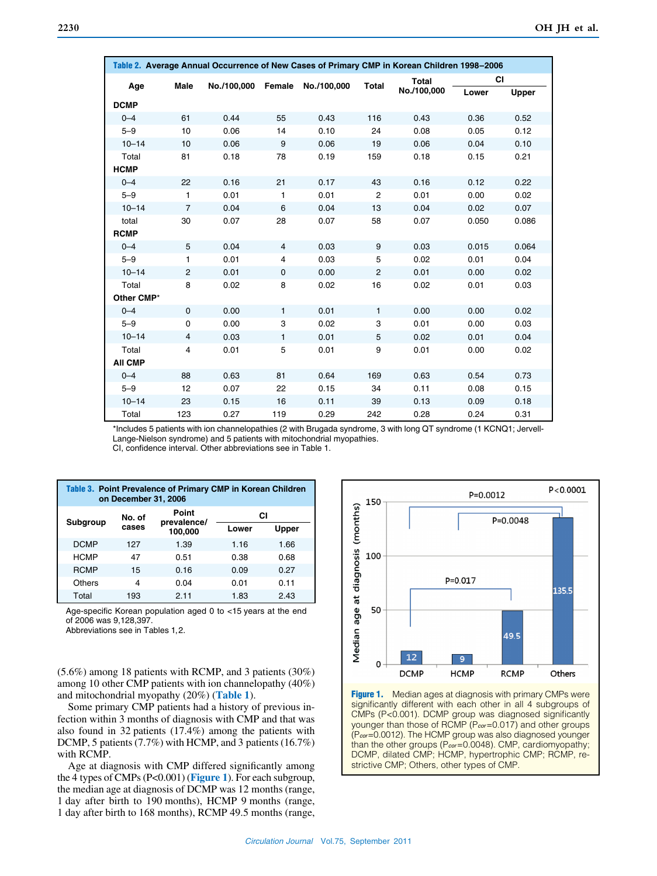| Table 2. Average Annual Occurrence of New Cases of Primary CMP in Korean Children 1998-2006 |                |             |                |             |                |              |       |              |
|---------------------------------------------------------------------------------------------|----------------|-------------|----------------|-------------|----------------|--------------|-------|--------------|
| Male<br>Age                                                                                 |                | No./100,000 | Female         | No./100,000 | <b>Total</b>   | <b>Total</b> | СI    |              |
|                                                                                             |                |             |                |             |                | No./100,000  | Lower | <b>Upper</b> |
| <b>DCMP</b>                                                                                 |                |             |                |             |                |              |       |              |
| $0 - 4$                                                                                     | 61             | 0.44        | 55             | 0.43        | 116            | 0.43         | 0.36  | 0.52         |
| $5 - 9$                                                                                     | 10             | 0.06        | 14             | 0.10        | 24             | 0.08         | 0.05  | 0.12         |
| $10 - 14$                                                                                   | 10             | 0.06        | 9              | 0.06        | 19             | 0.06         | 0.04  | 0.10         |
| Total                                                                                       | 81             | 0.18        | 78             | 0.19        | 159            | 0.18         | 0.15  | 0.21         |
| <b>HCMP</b>                                                                                 |                |             |                |             |                |              |       |              |
| $0 - 4$                                                                                     | 22             | 0.16        | 21             | 0.17        | 43             | 0.16         | 0.12  | 0.22         |
| $5 - 9$                                                                                     | 1              | 0.01        | $\mathbf{1}$   | 0.01        | $\overline{2}$ | 0.01         | 0.00  | 0.02         |
| $10 - 14$                                                                                   | $\overline{7}$ | 0.04        | 6              | 0.04        | 13             | 0.04         | 0.02  | 0.07         |
| total                                                                                       | 30             | 0.07        | 28             | 0.07        | 58             | 0.07         | 0.050 | 0.086        |
| <b>RCMP</b>                                                                                 |                |             |                |             |                |              |       |              |
| $0 - 4$                                                                                     | 5              | 0.04        | $\overline{4}$ | 0.03        | 9              | 0.03         | 0.015 | 0.064        |
| $5 - 9$                                                                                     | 1              | 0.01        | $\overline{4}$ | 0.03        | 5              | 0.02         | 0.01  | 0.04         |
| $10 - 14$                                                                                   | $\overline{2}$ | 0.01        | $\mathbf 0$    | 0.00        | $\overline{2}$ | 0.01         | 0.00  | 0.02         |
| Total                                                                                       | 8              | 0.02        | 8              | 0.02        | 16             | 0.02         | 0.01  | 0.03         |
| Other CMP*                                                                                  |                |             |                |             |                |              |       |              |
| $0 - 4$                                                                                     | $\mathbf 0$    | 0.00        | $\mathbf{1}$   | 0.01        | $\mathbf{1}$   | 0.00         | 0.00  | 0.02         |
| $5 - 9$                                                                                     | $\mathbf 0$    | 0.00        | 3              | 0.02        | 3              | 0.01         | 0.00  | 0.03         |
| $10 - 14$                                                                                   | $\overline{4}$ | 0.03        | 1              | 0.01        | 5              | 0.02         | 0.01  | 0.04         |
| Total                                                                                       | $\overline{4}$ | 0.01        | 5              | 0.01        | 9              | 0.01         | 0.00  | 0.02         |
| <b>AII CMP</b>                                                                              |                |             |                |             |                |              |       |              |
| $0 - 4$                                                                                     | 88             | 0.63        | 81             | 0.64        | 169            | 0.63         | 0.54  | 0.73         |
| $5 - 9$                                                                                     | 12             | 0.07        | 22             | 0.15        | 34             | 0.11         | 0.08  | 0.15         |
| $10 - 14$                                                                                   | 23             | 0.15        | 16             | 0.11        | 39             | 0.13         | 0.09  | 0.18         |
| Total                                                                                       | 123            | 0.27        | 119            | 0.29        | 242            | 0.28         | 0.24  | 0.31         |

\*Includes 5 patients with ion channelopathies (2 with Brugada syndrome, 3 with long QT syndrome (1 KCNQ1; Jervell-Lange-Nielson syndrome) and 5 patients with mitochondrial myopathies. CI, confidence interval. Other abbreviations see in Table 1.

| Table 3. Point Prevalence of Primary CMP in Korean Children<br>on December 31, 2006 |                 |                      |       |       |  |  |
|-------------------------------------------------------------------------------------|-----------------|----------------------|-------|-------|--|--|
| <b>Subgroup</b>                                                                     | No. of<br>cases | Point<br>prevalence/ |       | СI    |  |  |
|                                                                                     |                 | 100,000              | Lower | Upper |  |  |
| <b>DCMP</b>                                                                         | 127             | 1.39                 | 1.16  | 1.66  |  |  |
| <b>HCMP</b>                                                                         | 47              | 0.51                 | 0.38  | 0.68  |  |  |
| <b>RCMP</b>                                                                         | 15              | 0.16                 | 0.09  | 0.27  |  |  |
| Others                                                                              | 4               | 0.04                 | 0.01  | 0.11  |  |  |
| Total                                                                               | 193             | 2.11                 | 1.83  | 2.43  |  |  |

Age-specific Korean population aged 0 to <15 years at the end of 2006 was 9,128,397.

Abbreviations see in Tables 1,2.

(5.6%) among 18 patients with RCMP, and 3 patients (30%) among 10 other CMP patients with ion channelopathy (40%) and mitochondrial myopathy (20%) (**Table 1**).

Some primary CMP patients had a history of previous infection within 3 months of diagnosis with CMP and that was also found in 32 patients (17.4%) among the patients with DCMP, 5 patients (7.7%) with HCMP, and 3 patients (16.7%) with RCMP.

Age at diagnosis with CMP differed significantly among the 4 types of CMPs (P<0.001) (**Figure 1**). For each subgroup, the median age at diagnosis of DCMP was 12 months (range, 1 day after birth to 190 months), HCMP 9 months (range, 1 day after birth to 168 months), RCMP 49.5 months (range,



Figure 1. Median ages at diagnosis with primary CMPs were significantly different with each other in all 4 subgroups of CMPs (P<0.001). DCMP group was diagnosed significantly younger than those of RCMP (P*cor*=0.017) and other groups (P*cor*=0.0012). The HCMP group was also diagnosed younger than the other groups (P*cor*=0.0048). CMP, cardiomyopathy; DCMP, dilated CMP; HCMP, hypertrophic CMP; RCMP, restrictive CMP; Others, other types of CMP.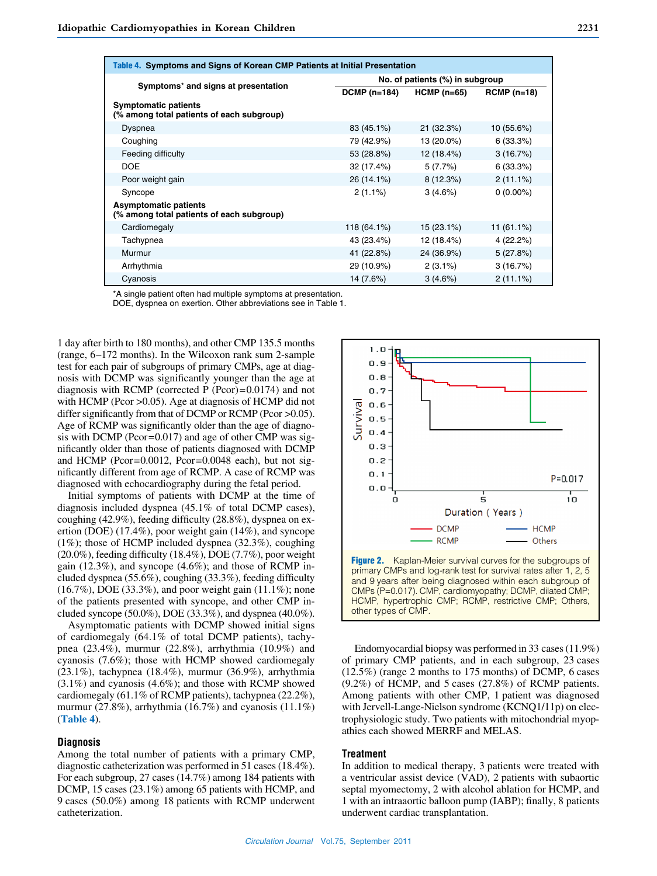| Table 4. Symptoms and Signs of Korean CMP Patients at Initial Presentation |                                 |              |              |  |  |  |
|----------------------------------------------------------------------------|---------------------------------|--------------|--------------|--|--|--|
|                                                                            | No. of patients (%) in subgroup |              |              |  |  |  |
| Symptoms* and signs at presentation                                        | <b>DCMP (n=184)</b>             | $HCMP(n=65)$ | $RCMP(n=18)$ |  |  |  |
| <b>Symptomatic patients</b><br>(% among total patients of each subgroup)   |                                 |              |              |  |  |  |
| Dyspnea                                                                    | 83 (45.1%)                      | 21(32.3%)    | 10(55.6%)    |  |  |  |
| Coughing                                                                   | 79 (42.9%)                      | 13 (20.0%)   | 6(33.3%)     |  |  |  |
| Feeding difficulty                                                         | 53 (28.8%)                      | 12 (18.4%)   | 3(16.7%)     |  |  |  |
| <b>DOE</b>                                                                 | 32 (17.4%)                      | 5(7.7%)      | 6(33.3%)     |  |  |  |
| Poor weight gain                                                           | 26 (14.1%)                      | 8(12.3%)     | $2(11.1\%)$  |  |  |  |
| Syncope                                                                    | $2(1.1\%)$                      | 3(4.6%)      | $0(0.00\%)$  |  |  |  |
| <b>Asymptomatic patients</b><br>(% among total patients of each subgroup)  |                                 |              |              |  |  |  |
| Cardiomegaly                                                               | 118 (64.1%)                     | 15 (23.1%)   | $11(61.1\%)$ |  |  |  |
| Tachypnea                                                                  | 43 (23.4%)                      | 12 (18.4%)   | 4 (22.2%)    |  |  |  |
| Murmur                                                                     | 41 (22.8%)                      | 24 (36.9%)   | 5(27.8%)     |  |  |  |
| Arrhythmia                                                                 | 29 (10.9%)                      | $2(3.1\%)$   | 3(16.7%)     |  |  |  |
| Cyanosis                                                                   | 14 (7.6%)                       | 3(4.6%)      | $2(11.1\%)$  |  |  |  |

\*A single patient often had multiple symptoms at presentation. DOE, dyspnea on exertion. Other abbreviations see in Table 1.

1 day after birth to 180 months), and other CMP 135.5 months (range, 6–172 months). In the Wilcoxon rank sum 2-sample test for each pair of subgroups of primary CMPs, age at diagnosis with DCMP was significantly younger than the age at diagnosis with RCMP (corrected P (Pcor)= $0.0174$ ) and not with HCMP (Pcor > 0.05). Age at diagnosis of HCMP did not differ significantly from that of DCMP or RCMP (Pcor >0.05). Age of RCMP was significantly older than the age of diagnosis with DCMP (Pcor=0.017) and age of other CMP was significantly older than those of patients diagnosed with DCMP and HCMP (Pcor=0.0012, Pcor=0.0048 each), but not significantly different from age of RCMP. A case of RCMP was diagnosed with echocardiography during the fetal period.

Initial symptoms of patients with DCMP at the time of diagnosis included dyspnea (45.1% of total DCMP cases), coughing (42.9%), feeding difficulty (28.8%), dyspnea on exertion (DOE) (17.4%), poor weight gain (14%), and syncope (1%); those of HCMP included dyspnea (32.3%), coughing (20.0%), feeding difficulty (18.4%), DOE (7.7%), poor weight gain (12.3%), and syncope (4.6%); and those of RCMP included dyspnea (55.6%), coughing (33.3%), feeding difficulty (16.7%), DOE (33.3%), and poor weight gain (11.1%); none of the patients presented with syncope, and other CMP included syncope (50.0%), DOE (33.3%), and dyspnea (40.0%).

Asymptomatic patients with DCMP showed initial signs of cardiomegaly (64.1% of total DCMP patients), tachypnea (23.4%), murmur (22.8%), arrhythmia (10.9%) and cyanosis (7.6%); those with HCMP showed cardiomegaly (23.1%), tachypnea (18.4%), murmur (36.9%), arrhythmia (3.1%) and cyanosis (4.6%); and those with RCMP showed cardiomegaly (61.1% of RCMP patients), tachypnea (22.2%), murmur (27.8%), arrhythmia (16.7%) and cyanosis (11.1%) (**Table 4**).

#### **Diagnosis**

Among the total number of patients with a primary CMP, diagnostic catheterization was performed in 51 cases (18.4%). For each subgroup, 27 cases (14.7%) among 184 patients with DCMP, 15 cases (23.1%) among 65 patients with HCMP, and 9 cases (50.0%) among 18 patients with RCMP underwent catheterization.



 Endomyocardial biopsy was performed in 33 cases (11.9%) of primary CMP patients, and in each subgroup, 23 cases (12.5%) (range 2 months to 175 months) of DCMP, 6 cases (9.2%) of HCMP, and 5 cases (27.8%) of RCMP patients. Among patients with other CMP, 1 patient was diagnosed with Jervell-Lange-Nielson syndrome (KCNQ1/11p) on electrophysiologic study. Two patients with mitochondrial myopathies each showed MERRF and MELAS.

## **Treatment**

In addition to medical therapy, 3 patients were treated with a ventricular assist device (VAD), 2 patients with subaortic septal myomectomy, 2 with alcohol ablation for HCMP, and 1 with an intraaortic balloon pump (IABP); finally, 8 patients underwent cardiac transplantation.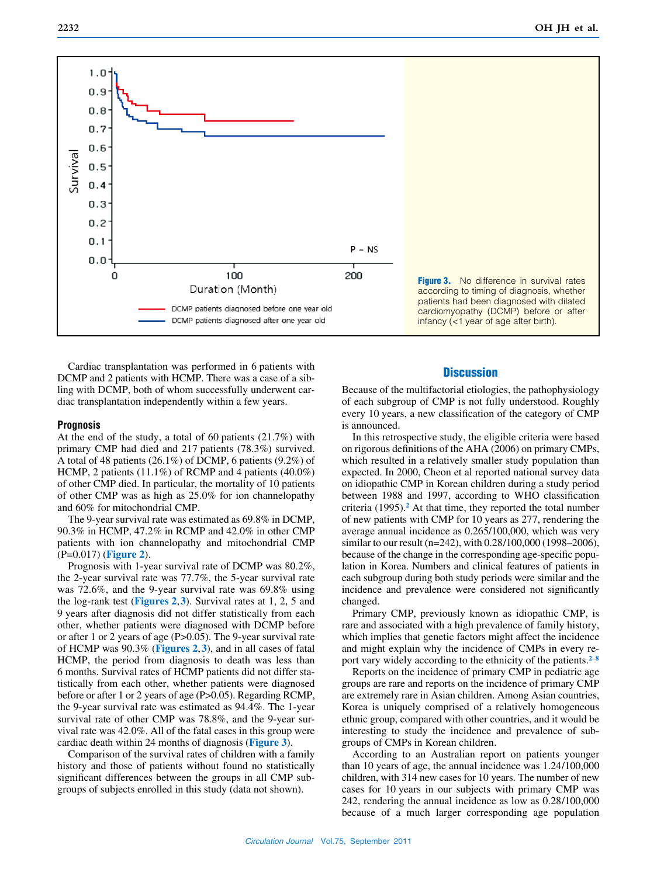

Cardiac transplantation was performed in 6 patients with DCMP and 2 patients with HCMP. There was a case of a sibling with DCMP, both of whom successfully underwent cardiac transplantation independently within a few years.

## **Prognosis**

At the end of the study, a total of 60 patients (21.7%) with primary CMP had died and 217 patients (78.3%) survived. A total of 48 patients (26.1%) of DCMP, 6 patients (9.2%) of HCMP, 2 patients (11.1%) of RCMP and 4 patients (40.0%) of other CMP died. In particular, the mortality of 10 patients of other CMP was as high as 25.0% for ion channelopathy and 60% for mitochondrial CMP.

The 9-year survival rate was estimated as 69.8% in DCMP, 90.3% in HCMP, 47.2% in RCMP and 42.0% in other CMP patients with ion channelopathy and mitochondrial CMP (P=0.017) (**Figure 2**).

Prognosis with 1-year survival rate of DCMP was 80.2%, the 2-year survival rate was 77.7%, the 5-year survival rate was 72.6%, and the 9-year survival rate was 69.8% using the log-rank test (**Figures 2**,**3**). Survival rates at 1, 2, 5 and 9 years after diagnosis did not differ statistically from each other, whether patients were diagnosed with DCMP before or after 1 or 2 years of age (P>0.05). The 9-year survival rate of HCMP was 90.3% (**Figures 2**,**3**), and in all cases of fatal HCMP, the period from diagnosis to death was less than 6 months. Survival rates of HCMP patients did not differ statistically from each other, whether patients were diagnosed before or after 1 or 2 years of age (P>0.05). Regarding RCMP, the 9-year survival rate was estimated as 94.4%. The 1-year survival rate of other CMP was 78.8%, and the 9-year survival rate was 42.0%. All of the fatal cases in this group were cardiac death within 24 months of diagnosis (**Figure 3**).

Comparison of the survival rates of children with a family history and those of patients without found no statistically significant differences between the groups in all CMP subgroups of subjects enrolled in this study (data not shown).

## **Discussion**

Because of the multifactorial etiologies, the pathophysiology of each subgroup of CMP is not fully understood. Roughly every 10 years, a new classification of the category of CMP is announced.

In this retrospective study, the eligible criteria were based on rigorous definitions of the AHA (2006) on primary CMPs, which resulted in a relatively smaller study population than expected. In 2000, Cheon et al reported national survey data on idiopathic CMP in Korean children during a study period between 1988 and 1997, according to WHO classification criteria (1995).**2** At that time, they reported the total number of new patients with CMP for 10 years as 277, rendering the average annual incidence as 0.265/100,000, which was very similar to our result (n=242), with 0.28/100,000 (1998–2006), because of the change in the corresponding age-specific population in Korea. Numbers and clinical features of patients in each subgroup during both study periods were similar and the incidence and prevalence were considered not significantly changed.

Primary CMP, previously known as idiopathic CMP, is rare and associated with a high prevalence of family history, which implies that genetic factors might affect the incidence and might explain why the incidence of CMPs in every report vary widely according to the ethnicity of the patients.**<sup>2</sup>**–**<sup>8</sup>**

Reports on the incidence of primary CMP in pediatric age groups are rare and reports on the incidence of primary CMP are extremely rare in Asian children. Among Asian countries, Korea is uniquely comprised of a relatively homogeneous ethnic group, compared with other countries, and it would be interesting to study the incidence and prevalence of subgroups of CMPs in Korean children.

According to an Australian report on patients younger than 10 years of age, the annual incidence was 1.24/100,000 children, with 314 new cases for 10 years. The number of new cases for 10 years in our subjects with primary CMP was 242, rendering the annual incidence as low as 0.28/100,000 because of a much larger corresponding age population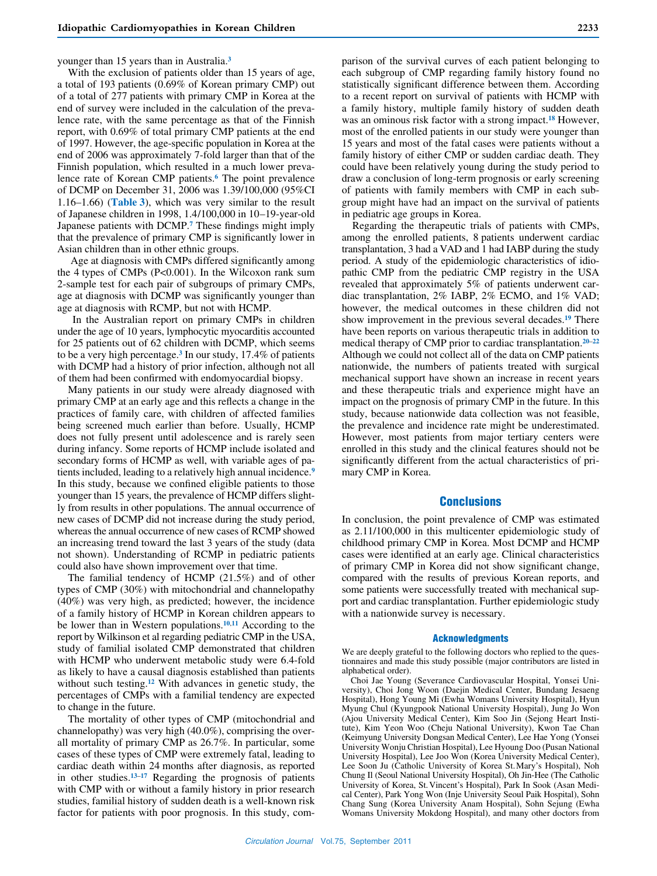#### younger than 15 years than in Australia.**<sup>3</sup>**

With the exclusion of patients older than 15 years of age, a total of 193 patients (0.69% of Korean primary CMP) out of a total of 277 patients with primary CMP in Korea at the end of survey were included in the calculation of the prevalence rate, with the same percentage as that of the Finnish report, with 0.69% of total primary CMP patients at the end of 1997. However, the age-specific population in Korea at the end of 2006 was approximately 7-fold larger than that of the Finnish population, which resulted in a much lower prevalence rate of Korean CMP patients.**6** The point prevalence of DCMP on December 31, 2006 was 1.39/100,000 (95%CI 1.16–1.66) (**Table 3**), which was very similar to the result of Japanese children in 1998, 1.4/100,000 in 10–19-year-old Japanese patients with DCMP.**7** These findings might imply that the prevalence of primary CMP is significantly lower in Asian children than in other ethnic groups.

 Age at diagnosis with CMPs differed significantly among the 4 types of CMPs (P<0.001). In the Wilcoxon rank sum 2-sample test for each pair of subgroups of primary CMPs, age at diagnosis with DCMP was significantly younger than age at diagnosis with RCMP, but not with HCMP.

 In the Australian report on primary CMPs in children under the age of 10 years, lymphocytic myocarditis accounted for 25 patients out of 62 children with DCMP, which seems to be a very high percentage.**3** In our study, 17.4% of patients with DCMP had a history of prior infection, although not all of them had been confirmed with endomyocardial biopsy.

Many patients in our study were already diagnosed with primary CMP at an early age and this reflects a change in the practices of family care, with children of affected families being screened much earlier than before. Usually, HCMP does not fully present until adolescence and is rarely seen during infancy. Some reports of HCMP include isolated and secondary forms of HCMP as well, with variable ages of patients included, leading to a relatively high annual incidence.**<sup>9</sup>** In this study, because we confined eligible patients to those younger than 15 years, the prevalence of HCMP differs slightly from results in other populations. The annual occurrence of new cases of DCMP did not increase during the study period, whereas the annual occurrence of new cases of RCMP showed an increasing trend toward the last 3 years of the study (data not shown). Understanding of RCMP in pediatric patients could also have shown improvement over that time.

The familial tendency of HCMP (21.5%) and of other types of CMP (30%) with mitochondrial and channelopathy (40%) was very high, as predicted; however, the incidence of a family history of HCMP in Korean children appears to be lower than in Western populations.**<sup>10</sup>**,**<sup>11</sup>** According to the report by Wilkinson et al regarding pediatric CMP in the USA, study of familial isolated CMP demonstrated that children with HCMP who underwent metabolic study were 6.4-fold as likely to have a causal diagnosis established than patients without such testing.**12** With advances in genetic study, the percentages of CMPs with a familial tendency are expected to change in the future.

The mortality of other types of CMP (mitochondrial and channelopathy) was very high (40.0%), comprising the overall mortality of primary CMP as 26.7%. In particular, some cases of these types of CMP were extremely fatal, leading to cardiac death within 24 months after diagnosis, as reported in other studies.**<sup>13</sup>**–**<sup>17</sup>** Regarding the prognosis of patients with CMP with or without a family history in prior research studies, familial history of sudden death is a well-known risk factor for patients with poor prognosis. In this study, comparison of the survival curves of each patient belonging to each subgroup of CMP regarding family history found no statistically significant difference between them. According to a recent report on survival of patients with HCMP with a family history, multiple family history of sudden death was an ominous risk factor with a strong impact.**18** However, most of the enrolled patients in our study were younger than 15 years and most of the fatal cases were patients without a family history of either CMP or sudden cardiac death. They could have been relatively young during the study period to draw a conclusion of long-term prognosis or early screening of patients with family members with CMP in each subgroup might have had an impact on the survival of patients in pediatric age groups in Korea.

Regarding the therapeutic trials of patients with CMPs, among the enrolled patients, 8 patients underwent cardiac transplantation, 3 had a VAD and 1 had IABP during the study period. A study of the epidemiologic characteristics of idiopathic CMP from the pediatric CMP registry in the USA revealed that approximately 5% of patients underwent cardiac transplantation, 2% IABP, 2% ECMO, and 1% VAD; however, the medical outcomes in these children did not show improvement in the previous several decades.**19** There have been reports on various therapeutic trials in addition to medical therapy of CMP prior to cardiac transplantation.**<sup>20</sup>**–**<sup>22</sup>** Although we could not collect all of the data on CMP patients nationwide, the numbers of patients treated with surgical mechanical support have shown an increase in recent years and these therapeutic trials and experience might have an impact on the prognosis of primary CMP in the future. In this study, because nationwide data collection was not feasible, the prevalence and incidence rate might be underestimated. However, most patients from major tertiary centers were enrolled in this study and the clinical features should not be significantly different from the actual characteristics of primary CMP in Korea.

#### **Conclusions**

In conclusion, the point prevalence of CMP was estimated as 2.11/100,000 in this multicenter epidemiologic study of childhood primary CMP in Korea. Most DCMP and HCMP cases were identified at an early age. Clinical characteristics of primary CMP in Korea did not show significant change, compared with the results of previous Korean reports, and some patients were successfully treated with mechanical support and cardiac transplantation. Further epidemiologic study with a nationwide survey is necessary.

#### Acknowledgments

We are deeply grateful to the following doctors who replied to the questionnaires and made this study possible (major contributors are listed in alphabetical order).

Choi Jae Young (Severance Cardiovascular Hospital, Yonsei University), Choi Jong Woon (Daejin Medical Center, Bundang Jesaeng Hospital), Hong Young Mi (Ewha Womans University Hospital), Hyun Myung Chul (Kyungpook National University Hospital), Jung Jo Won (Ajou University Medical Center), Kim Soo Jin (Sejong Heart Institute), Kim Yeon Woo (Cheju National University), Kwon Tae Chan (Keimyung University Dongsan Medical Center), Lee Hae Yong (Yonsei University Wonju Christian Hospital), Lee Hyoung Doo (Pusan National University Hospital), Lee Joo Won (Korea University Medical Center), Lee Soon Ju (Catholic University of Korea St.Mary's Hospital), Noh Chung Il (Seoul National University Hospital), Oh Jin-Hee (The Catholic University of Korea, St.Vincent's Hospital), Park In Sook (Asan Medical Center), Park Yong Won (Inje University Seoul Paik Hospital), Sohn Chang Sung (Korea University Anam Hospital), Sohn Sejung (Ewha Womans University Mokdong Hospital), and many other doctors from